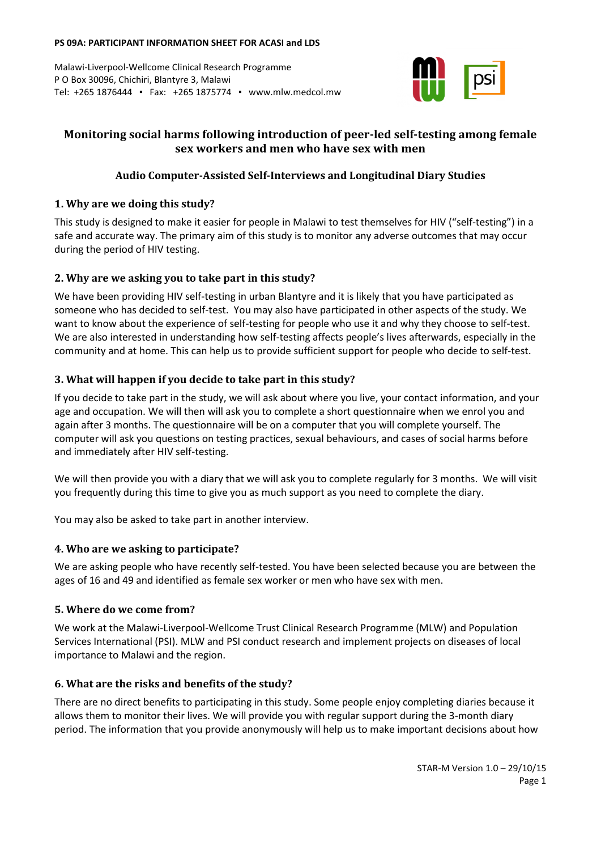#### **PS 09A: PARTICIPANT INFORMATION SHEET FOR ACASI and LDS**

Malawi-Liverpool-Wellcome Clinical Research Programme P O Box 30096, Chichiri, Blantyre 3, Malawi Tel: +265 1876444 ▪ Fax: +265 1875774 ▪ www.mlw.medcol.mw



# **Monitoring social harms following introduction of peer-led self-testing among female sex workers and men who have sex with men**

## **Audio Computer-Assisted Self-Interviews and Longitudinal Diary Studies**

### **1. Why are we doing this study?**

This study is designed to make it easier for people in Malawi to test themselves for HIV ("self-testing") in a safe and accurate way. The primary aim of this study is to monitor any adverse outcomes that may occur during the period of HIV testing.

## **2. Why are we asking you to take part in this study?**

We have been providing HIV self-testing in urban Blantyre and it is likely that you have participated as someone who has decided to self-test. You may also have participated in other aspects of the study. We want to know about the experience of self-testing for people who use it and why they choose to self-test. We are also interested in understanding how self-testing affects people's lives afterwards, especially in the community and at home. This can help us to provide sufficient support for people who decide to self-test.

### **3. What will happen if you decide to take part in this study?**

If you decide to take part in the study, we will ask about where you live, your contact information, and your age and occupation. We will then will ask you to complete a short questionnaire when we enrol you and again after 3 months. The questionnaire will be on a computer that you will complete yourself. The computer will ask you questions on testing practices, sexual behaviours, and cases of social harms before and immediately after HIV self-testing.

We will then provide you with a diary that we will ask you to complete regularly for 3 months. We will visit you frequently during this time to give you as much support as you need to complete the diary.

You may also be asked to take part in another interview.

### **4. Who are we asking to participate?**

We are asking people who have recently self-tested. You have been selected because you are between the ages of 16 and 49 and identified as female sex worker or men who have sex with men.

### **5. Where do we come from?**

We work at the Malawi-Liverpool-Wellcome Trust Clinical Research Programme (MLW) and Population Services International (PSI). MLW and PSI conduct research and implement projects on diseases of local importance to Malawi and the region.

## **6. What are the risks and benefits of the study?**

There are no direct benefits to participating in this study. Some people enjoy completing diaries because it allows them to monitor their lives. We will provide you with regular support during the 3-month diary period. The information that you provide anonymously will help us to make important decisions about how